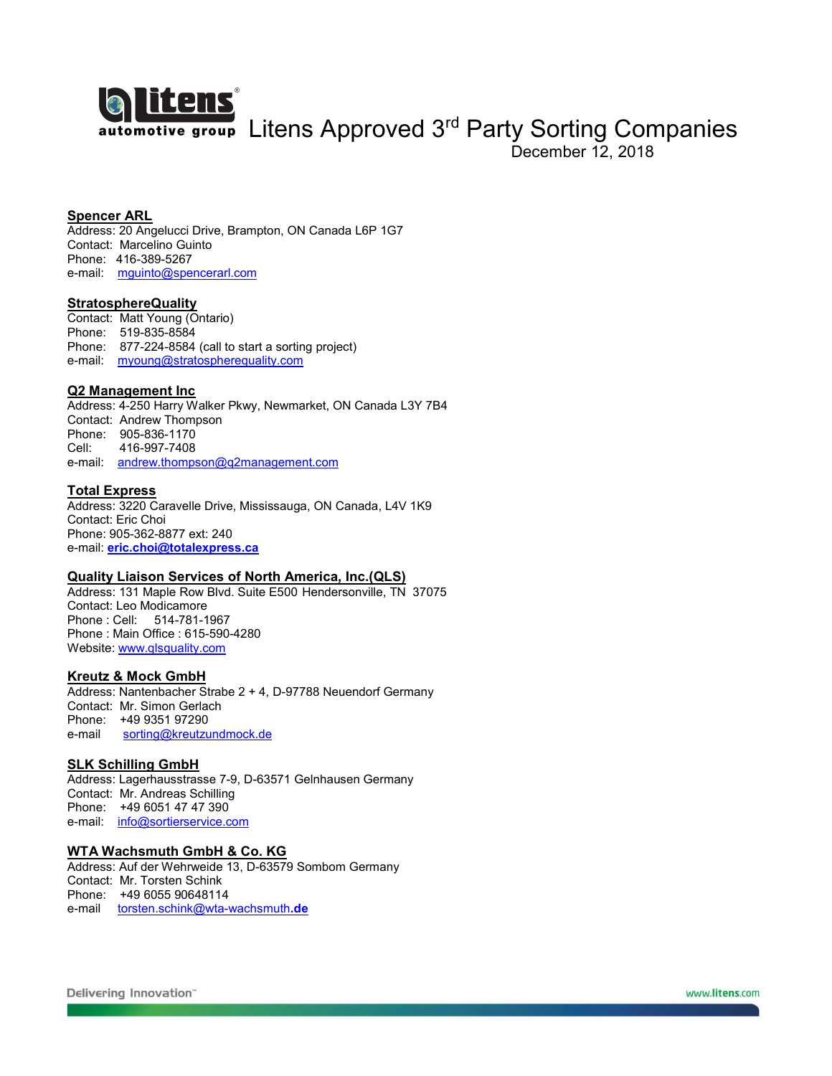

# **Spencer ARL**

Address: 20 Angelucci Drive, Brampton, ON Canada L6P 1G7 Contact: Marcelino Guinto Phone: 416-389-5267 e-mail: mguinto@spencerarl.com

## StratosphereQuality

Contact: Matt Young (Ontario) Phone: 519-835-8584 Phone: 877-224-8584 (call to start a sorting project) e-mail: myoung@stratospherequality.com

# Q2 Management Inc

Address: 4-250 Harry Walker Pkwy, Newmarket, ON Canada L3Y 7B4 Contact: Andrew Thompson Phone: 905-836-1170 Cell: 416-997-7408 e-mail: andrew.thompson@q2management.com

### Total Express

Address: 3220 Caravelle Drive, Mississauga, ON Canada, L4V 1K9 Contact: Eric Choi Phone: 905-362-8877 ext: 240 e-mail: eric.choi@totalexpress.ca

### Quality Liaison Services of North America, Inc.(QLS)

Address: 131 Maple Row Blvd. Suite E500 Hendersonville, TN 37075 Contact: Leo Modicamore Phone : Cell: 514-781-1967 Phone : Main Office : 615-590-4280 Website: www.qlsquality.com

#### Kreutz & Mock GmbH

Address: Nantenbacher Strabe 2 + 4, D-97788 Neuendorf Germany Contact: Mr. Simon Gerlach Phone: +49 9351 97290 e-mail sorting@kreutzundmock.de

## SLK Schilling GmbH

Address: Lagerhausstrasse 7-9, D-63571 Gelnhausen Germany Contact: Mr. Andreas Schilling Phone: +49 6051 47 47 390 e-mail: info@sortierservice.com

# WTA Wachsmuth GmbH & Co. KG

Address: Auf der Wehrweide 13, D-63579 Sombom Germany Contact: Mr. Torsten Schink Phone: +49 6055 90648114 e-mail torsten.schink@wta-wachsmuth.de